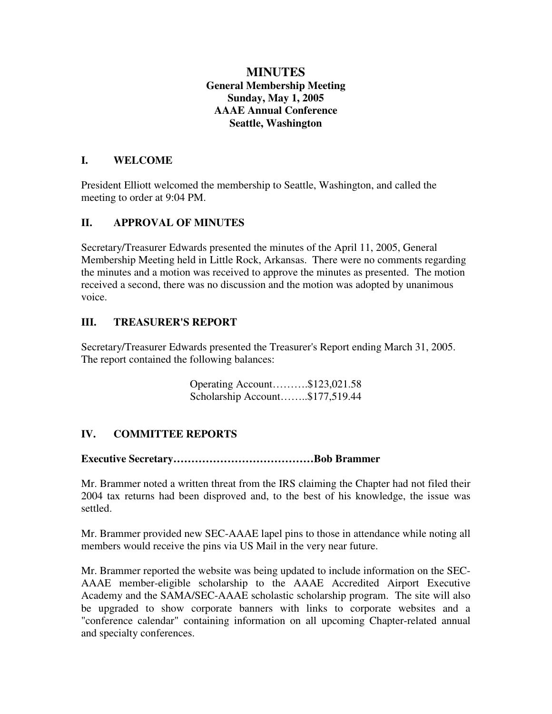# **MINUTES General Membership Meeting Sunday, May 1, 2005 AAAE Annual Conference Seattle, Washington**

#### **I. WELCOME**

President Elliott welcomed the membership to Seattle, Washington, and called the meeting to order at 9:04 PM.

## **II. APPROVAL OF MINUTES**

Secretary/Treasurer Edwards presented the minutes of the April 11, 2005, General Membership Meeting held in Little Rock, Arkansas. There were no comments regarding the minutes and a motion was received to approve the minutes as presented. The motion received a second, there was no discussion and the motion was adopted by unanimous voice.

## **III. TREASURER'S REPORT**

Secretary/Treasurer Edwards presented the Treasurer's Report ending March 31, 2005. The report contained the following balances:

> Operating Account……….\$123,021.58 Scholarship Account……..\$177,519.44

# **IV. COMMITTEE REPORTS**

## **Executive Secretary…………………………………Bob Brammer**

Mr. Brammer noted a written threat from the IRS claiming the Chapter had not filed their 2004 tax returns had been disproved and, to the best of his knowledge, the issue was settled.

Mr. Brammer provided new SEC-AAAE lapel pins to those in attendance while noting all members would receive the pins via US Mail in the very near future.

Mr. Brammer reported the website was being updated to include information on the SEC-AAAE member-eligible scholarship to the AAAE Accredited Airport Executive Academy and the SAMA/SEC-AAAE scholastic scholarship program. The site will also be upgraded to show corporate banners with links to corporate websites and a "conference calendar" containing information on all upcoming Chapter-related annual and specialty conferences.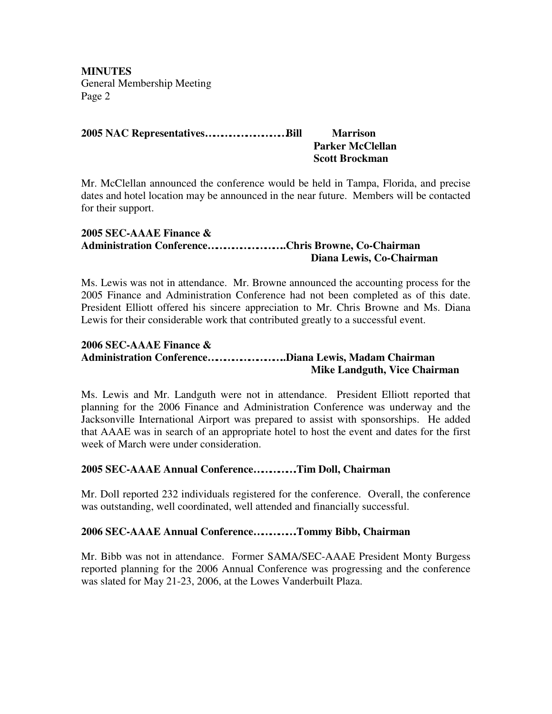**MINUTES** General Membership Meeting Page 2

## **2005 NAC Representatives…………………………Bill Marrison**

# **Parker McClellan Scott Brockman**

Mr. McClellan announced the conference would be held in Tampa, Florida, and precise dates and hotel location may be announced in the near future. Members will be contacted for their support.

#### **2005 SEC-AAAE Finance & Administration Conference………………………..Chris Browne, Co-Chairman Diana Lewis, Co-Chairman**

Ms. Lewis was not in attendance. Mr. Browne announced the accounting process for the 2005 Finance and Administration Conference had not been completed as of this date. President Elliott offered his sincere appreciation to Mr. Chris Browne and Ms. Diana Lewis for their considerable work that contributed greatly to a successful event.

#### **2006 SEC-AAAE Finance & Administration Conference………………………..Diana Lewis, Madam Chairman Mike Landguth, Vice Chairman**

Ms. Lewis and Mr. Landguth were not in attendance. President Elliott reported that planning for the 2006 Finance and Administration Conference was underway and the Jacksonville International Airport was prepared to assist with sponsorships. He added that AAAE was in search of an appropriate hotel to host the event and dates for the first week of March were under consideration.

## **2005 SEC-AAAE Annual Conference…………….Tim Doll, Chairman**

Mr. Doll reported 232 individuals registered for the conference. Overall, the conference was outstanding, well coordinated, well attended and financially successful.

#### **2006 SEC-AAAE Annual Conference…………….Tommy Bibb, Chairman**

Mr. Bibb was not in attendance. Former SAMA/SEC-AAAE President Monty Burgess reported planning for the 2006 Annual Conference was progressing and the conference was slated for May 21-23, 2006, at the Lowes Vanderbuilt Plaza.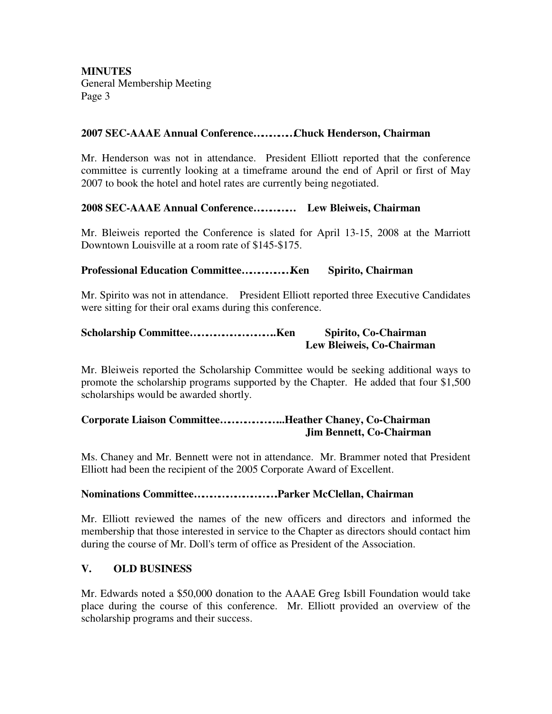**MINUTES** General Membership Meeting Page 3

#### **2007 SEC-AAAE Annual Conference……………Chuck Henderson, Chairman**

Mr. Henderson was not in attendance. President Elliott reported that the conference committee is currently looking at a timeframe around the end of April or first of May 2007 to book the hotel and hotel rates are currently being negotiated.

#### **2008 SEC-AAAE Annual Conference…………… Lew Bleiweis, Chairman**

Mr. Bleiweis reported the Conference is slated for April 13-15, 2008 at the Marriott Downtown Louisville at a room rate of \$145-\$175.

#### **Professional Education Committee………………Ken Spirito, Chairman**

Mr. Spirito was not in attendance. President Elliott reported three Executive Candidates were sitting for their oral exams during this conference.

## **Scholarship Committee…………………………..Ken Spirito, Co-Chairman Lew Bleiweis, Co-Chairman**

Mr. Bleiweis reported the Scholarship Committee would be seeking additional ways to promote the scholarship programs supported by the Chapter. He added that four \$1,500 scholarships would be awarded shortly.

#### **Corporate Liaison Committee…………………...Heather Chaney, Co-Chairman Jim Bennett, Co-Chairman**

Ms. Chaney and Mr. Bennett were not in attendance. Mr. Brammer noted that President Elliott had been the recipient of the 2005 Corporate Award of Excellent.

#### **Nominations Committee………………………….Parker McClellan, Chairman**

Mr. Elliott reviewed the names of the new officers and directors and informed the membership that those interested in service to the Chapter as directors should contact him during the course of Mr. Doll's term of office as President of the Association.

#### **V. OLD BUSINESS**

Mr. Edwards noted a \$50,000 donation to the AAAE Greg Isbill Foundation would take place during the course of this conference. Mr. Elliott provided an overview of the scholarship programs and their success.